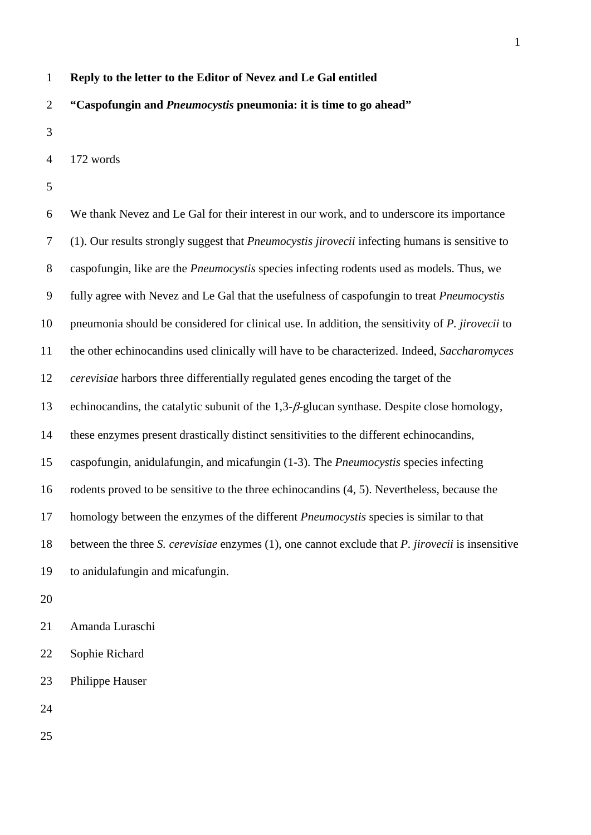## **Reply to the letter to the Editor of Nevez and Le Gal entitled**

## **"Caspofungin and** *Pneumocystis* **pneumonia: it is time to go ahead"**

172 words

 We thank Nevez and Le Gal for their interest in our work, and to underscore its importance (1). Our results strongly suggest that *Pneumocystis jirovecii* infecting humans is sensitive to caspofungin, like are the *Pneumocystis* species infecting rodents used as models. Thus, we fully agree with Nevez and Le Gal that the usefulness of caspofungin to treat *Pneumocystis* pneumonia should be considered for clinical use. In addition, the sensitivity of *P. jirovecii* to the other echinocandins used clinically will have to be characterized. Indeed, *Saccharomyces cerevisiae* harbors three differentially regulated genes encoding the target of the 13 echinocandins, the catalytic subunit of the  $1,3-\beta$ -glucan synthase. Despite close homology, these enzymes present drastically distinct sensitivities to the different echinocandins, caspofungin, anidulafungin, and micafungin (1-3). The *Pneumocystis* species infecting rodents proved to be sensitive to the three echinocandins (4, 5). Nevertheless, because the homology between the enzymes of the different *Pneumocystis* species is similar to that between the three *S. cerevisiae* enzymes (1), one cannot exclude that *P. jirovecii* is insensitive to anidulafungin and micafungin. Amanda Luraschi

Sophie Richard

Philippe Hauser